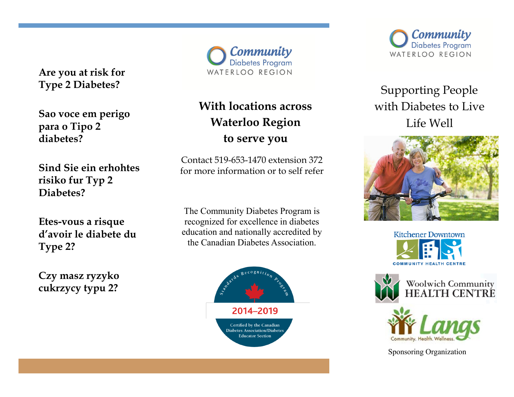**Are you at risk for Type 2 Diabetes?**

**Sao voce em perigo para o Tipo 2 diabetes?**

**Sind Sie ein erhohtes risiko fur Typ 2 Diabetes?**

**Etes-vous a risque d'avoir le diabete du Type 2?**

**Czy masz ryzyko cukrzycy typu 2?**

Community Diabetes Program WATERLOO REGION

# **With locations across Waterloo Region to serve you**

Contact 519-653-1470 extension 372 for more information or to self refer

The Community Diabetes Program is recognized for excellence in diabetes education and nationally accredited by the Canadian Diabetes Association.





Supporting People with Diabetes to Live Life Well







Sponsoring Organization